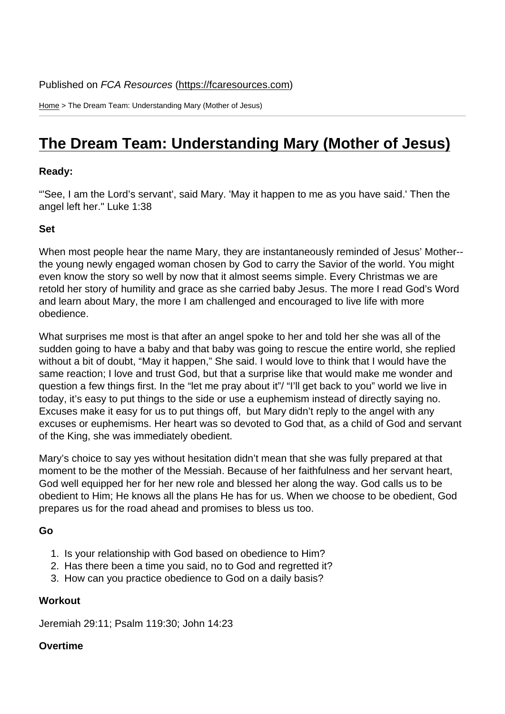Home > The Dream Team: Understanding Mary (Mother of Jesus)

## [The](https://fcaresources.com/) Dream Team: Understanding Mary (Mother of Jesus)

Ready:

["'See, I am the Lord's servant', said Mary. 'May it happen to me as you have said.' Then the](https://fcaresources.com/devotional/dream-team-understanding-mary-mother-jesus)  angel left her." Luke 1:38

Set

When most people hear the name Mary, they are instantaneously reminded of Jesus' Mother- the young newly engaged woman chosen by God to carry the Savior of the world. You might even know the story so well by now that it almost seems simple. Every Christmas we are retold her story of humility and grace as she carried baby Jesus. The more I read God's Word and learn about Mary, the more I am challenged and encouraged to live life with more obedience.

What surprises me most is that after an angel spoke to her and told her she was all of the sudden going to have a baby and that baby was going to rescue the entire world, she replied without a bit of doubt, "May it happen," She said. I would love to think that I would have the same reaction; I love and trust God, but that a surprise like that would make me wonder and question a few things first. In the "let me pray about it"/ "I'll get back to you" world we live in today, it's easy to put things to the side or use a euphemism instead of directly saying no. Excuses make it easy for us to put things off, but Mary didn't reply to the angel with any excuses or euphemisms. Her heart was so devoted to God that, as a child of God and servant of the King, she was immediately obedient.

Mary's choice to say yes without hesitation didn't mean that she was fully prepared at that moment to be the mother of the Messiah. Because of her faithfulness and her servant heart, God well equipped her for her new role and blessed her along the way. God calls us to be obedient to Him; He knows all the plans He has for us. When we choose to be obedient, God prepares us for the road ahead and promises to bless us too.

Go

- 1. Is your relationship with God based on obedience to Him?
- 2. Has there been a time you said, no to God and regretted it?
- 3. How can you practice obedience to God on a daily basis?

**Workout** 

Jeremiah 29:11; Psalm 119:30; John 14:23

**Overtime**